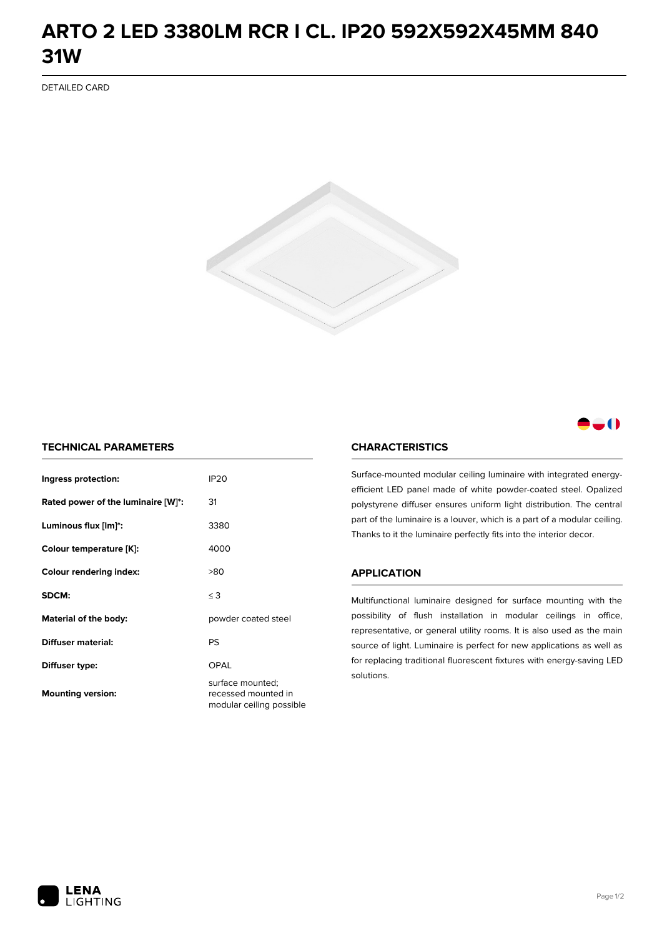## **ARTO 2 LED 3380LM RCR I CL. IP20 592X592X45MM 840 31W**

DETAILED CARD



### -0

#### **TECHNICAL PARAMETERS**

| Ingress protection:                | <b>IP20</b>                                                         |
|------------------------------------|---------------------------------------------------------------------|
| Rated power of the luminaire [W]*: | 31                                                                  |
| Luminous flux [lm]*:               | 3380                                                                |
| Colour temperature [K]:            | 4000                                                                |
| <b>Colour rendering index:</b>     | >80                                                                 |
| SDCM:                              | $\leq$ 3                                                            |
| Material of the body:              | powder coated steel                                                 |
| Diffuser material:                 | PS                                                                  |
| Diffuser type:                     | OPAL                                                                |
| <b>Mounting version:</b>           | surface mounted;<br>recessed mounted in<br>modular ceiling possible |

#### **CHARACTERISTICS**

Surface-mounted modular ceiling luminaire with integrated energyefficient LED panel made of white powder-coated steel. Opalized polystyrene diffuser ensures uniform light distribution. The central part of the luminaire is a louver, which is a part of a modular ceiling. Thanks to it the luminaire perfectly fits into the interior decor.

#### **APPLICATION**

Multifunctional luminaire designed for surface mounting with the possibility of flush installation in modular ceilings in office, representative, or general utility rooms. It is also used as the main source of light. Luminaire is perfect for new applications as well as for replacing traditional fluorescent fixtures with energy-saving LED solutions.